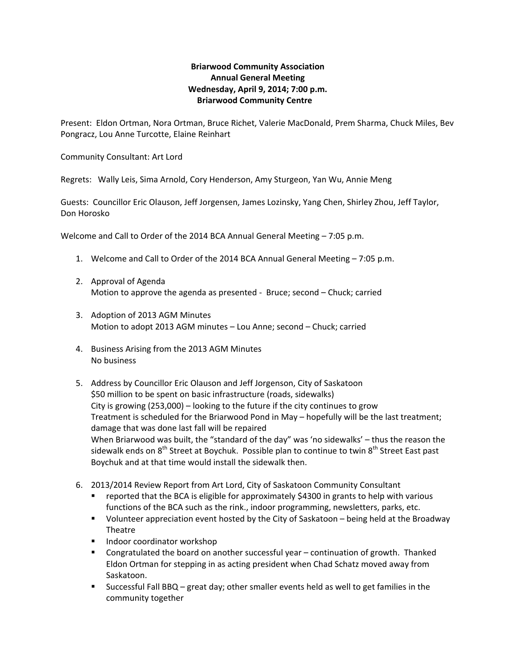## **Briarwood Community Association Annual General Meeting Wednesday, April 9, 2014; 7:00 p.m. Briarwood Community Centre**

Present: Eldon Ortman, Nora Ortman, Bruce Richet, Valerie MacDonald, Prem Sharma, Chuck Miles, Bev Pongracz, Lou Anne Turcotte, Elaine Reinhart

Community Consultant: Art Lord

Regrets: Wally Leis, Sima Arnold, Cory Henderson, Amy Sturgeon, Yan Wu, Annie Meng

Guests: Councillor Eric Olauson, Jeff Jorgensen, James Lozinsky, Yang Chen, Shirley Zhou, Jeff Taylor, Don Horosko

Welcome and Call to Order of the 2014 BCA Annual General Meeting – 7:05 p.m.

- 1. Welcome and Call to Order of the 2014 BCA Annual General Meeting 7:05 p.m.
- 2. Approval of Agenda Motion to approve the agenda as presented ‐ Bruce; second – Chuck; carried
- 3. Adoption of 2013 AGM Minutes Motion to adopt 2013 AGM minutes – Lou Anne; second – Chuck; carried
- 4. Business Arising from the 2013 AGM Minutes No business
- 5. Address by Councillor Eric Olauson and Jeff Jorgenson, City of Saskatoon \$50 million to be spent on basic infrastructure (roads, sidewalks) City is growing (253,000) – looking to the future if the city continues to grow Treatment is scheduled for the Briarwood Pond in May – hopefully will be the last treatment; damage that was done last fall will be repaired When Briarwood was built, the "standard of the day" was 'no sidewalks' - thus the reason the sidewalk ends on  $8<sup>th</sup>$  Street at Boychuk. Possible plan to continue to twin  $8<sup>th</sup>$  Street East past Boychuk and at that time would install the sidewalk then.
- 6. 2013/2014 Review Report from Art Lord, City of Saskatoon Community Consultant
	- reported that the BCA is eligible for approximately \$4300 in grants to help with various functions of the BCA such as the rink., indoor programming, newsletters, parks, etc.
	- Volunteer appreciation event hosted by the City of Saskatoon being held at the Broadway Theatre
	- **Indoor coordinator workshop**
	- Congratulated the board on another successful year continuation of growth. Thanked Eldon Ortman for stepping in as acting president when Chad Schatz moved away from Saskatoon.
	- Successful Fall BBQ great day; other smaller events held as well to get families in the community together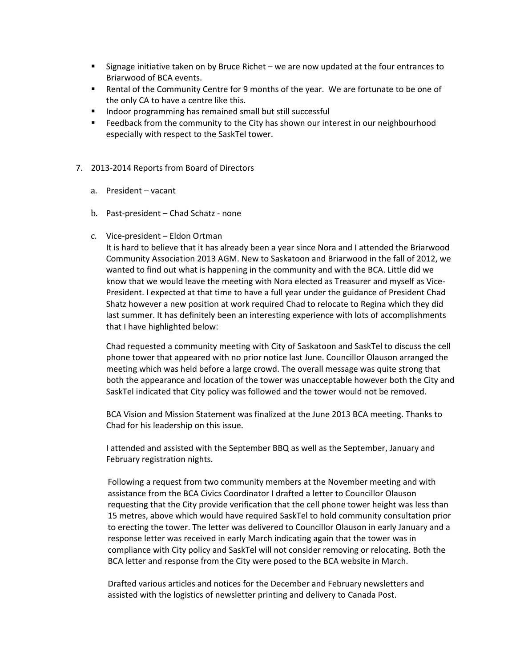- **Signage initiative taken on by Bruce Richet we are now updated at the four entrances to** Briarwood of BCA events.
- Rental of the Community Centre for 9 months of the year. We are fortunate to be one of the only CA to have a centre like this.
- **Indoor programming has remained small but still successful**
- **Feedback from the community to the City has shown our interest in our neighbourhood** especially with respect to the SaskTel tower.
- 7. 2013‐2014 Reports from Board of Directors
	- a. President vacant
	- b. Past‐president Chad Schatz ‐ none
	- c. Vice‐president Eldon Ortman

It is hard to believe that it has already been a year since Nora and I attended the Briarwood Community Association 2013 AGM. New to Saskatoon and Briarwood in the fall of 2012, we wanted to find out what is happening in the community and with the BCA. Little did we know that we would leave the meeting with Nora elected as Treasurer and myself as Vice-President. I expected at that time to have a full year under the guidance of President Chad Shatz however a new position at work required Chad to relocate to Regina which they did last summer. It has definitely been an interesting experience with lots of accomplishments that I have highlighted below:

Chad requested a community meeting with City of Saskatoon and SaskTel to discuss the cell phone tower that appeared with no prior notice last June. Councillor Olauson arranged the meeting which was held before a large crowd. The overall message was quite strong that both the appearance and location of the tower was unacceptable however both the City and SaskTel indicated that City policy was followed and the tower would not be removed.

BCA Vision and Mission Statement was finalized at the June 2013 BCA meeting. Thanks to Chad for his leadership on this issue.

I attended and assisted with the September BBQ as well as the September, January and February registration nights.

Following a request from two community members at the November meeting and with assistance from the BCA Civics Coordinator I drafted a letter to Councillor Olauson requesting that the City provide verification that the cell phone tower height was less than 15 metres, above which would have required SaskTel to hold community consultation prior to erecting the tower. The letter was delivered to Councillor Olauson in early January and a response letter was received in early March indicating again that the tower was in compliance with City policy and SaskTel will not consider removing or relocating. Both the BCA letter and response from the City were posed to the BCA website in March.

Drafted various articles and notices for the December and February newsletters and assisted with the logistics of newsletter printing and delivery to Canada Post.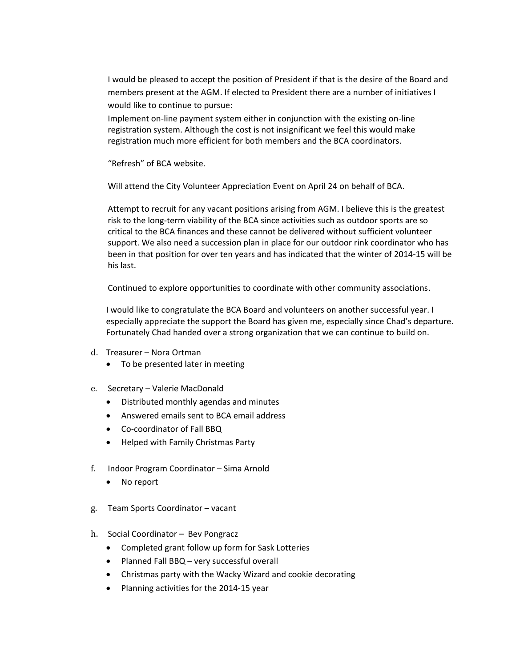I would be pleased to accept the position of President if that is the desire of the Board and members present at the AGM. If elected to President there are a number of initiatives I would like to continue to pursue:

Implement on‐line payment system either in conjunction with the existing on‐line registration system. Although the cost is not insignificant we feel this would make registration much more efficient for both members and the BCA coordinators.

"Refresh" of BCA website.

Will attend the City Volunteer Appreciation Event on April 24 on behalf of BCA.

Attempt to recruit for any vacant positions arising from AGM. I believe this is the greatest risk to the long‐term viability of the BCA since activities such as outdoor sports are so critical to the BCA finances and these cannot be delivered without sufficient volunteer support. We also need a succession plan in place for our outdoor rink coordinator who has been in that position for over ten years and has indicated that the winter of 2014‐15 will be his last.

Continued to explore opportunities to coordinate with other community associations.

I would like to congratulate the BCA Board and volunteers on another successful year. I especially appreciate the support the Board has given me, especially since Chad's departure. Fortunately Chad handed over a strong organization that we can continue to build on.

- d. Treasurer Nora Ortman
	- To be presented later in meeting
- e. Secretary Valerie MacDonald
	- Distributed monthly agendas and minutes
	- Answered emails sent to BCA email address
	- Co-coordinator of Fall BBQ
	- Helped with Family Christmas Party
- f. Indoor Program Coordinator Sima Arnold
	- No report
- g. Team Sports Coordinator vacant
- h. Social Coordinator Bev Pongracz
	- Completed grant follow up form for Sask Lotteries
	- Planned Fall BBQ very successful overall
	- Christmas party with the Wacky Wizard and cookie decorating
	- Planning activities for the 2014-15 year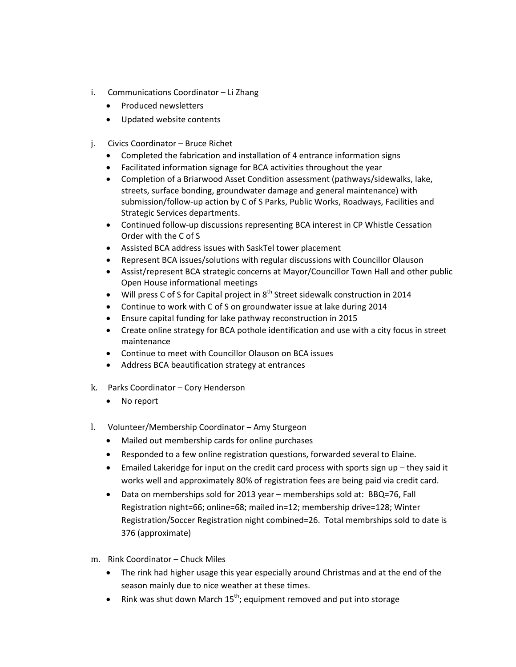- i. Communications Coordinator Li Zhang
	- Produced newsletters
	- Updated website contents
- j. Civics Coordinator Bruce Richet
	- Completed the fabrication and installation of 4 entrance information signs
	- Facilitated information signage for BCA activities throughout the year
	- Completion of a Briarwood Asset Condition assessment (pathways/sidewalks, lake, streets, surface bonding, groundwater damage and general maintenance) with submission/follow-up action by C of S Parks, Public Works, Roadways, Facilities and Strategic Services departments.
	- Continued follow-up discussions representing BCA interest in CP Whistle Cessation Order with the C of S
	- Assisted BCA address issues with SaskTel tower placement
	- Represent BCA issues/solutions with regular discussions with Councillor Olauson
	- Assist/represent BCA strategic concerns at Mayor/Councillor Town Hall and other public Open House informational meetings
	- $\bullet$  Will press C of S for Capital project in  $8^{th}$  Street sidewalk construction in 2014
	- Continue to work with C of S on groundwater issue at lake during 2014
	- Ensure capital funding for lake pathway reconstruction in 2015
	- Create online strategy for BCA pothole identification and use with a city focus in street maintenance
	- Continue to meet with Councillor Olauson on BCA issues
	- Address BCA beautification strategy at entrances
- k. Parks Coordinator Cory Henderson
	- No report
- l. Volunteer/Membership Coordinator Amy Sturgeon
	- Mailed out membership cards for online purchases
	- Responded to a few online registration questions, forwarded several to Elaine.
	- Emailed Lakeridge for input on the credit card process with sports sign up they said it works well and approximately 80% of registration fees are being paid via credit card.
	- Data on memberships sold for 2013 year memberships sold at: BBQ=76, Fall Registration night=66; online=68; mailed in=12; membership drive=128; Winter Registration/Soccer Registration night combined=26. Total membrships sold to date is 376 (approximate)
- m. Rink Coordinator Chuck Miles
	- The rink had higher usage this year especially around Christmas and at the end of the season mainly due to nice weather at these times.
	- Rink was shut down March  $15^{th}$ ; equipment removed and put into storage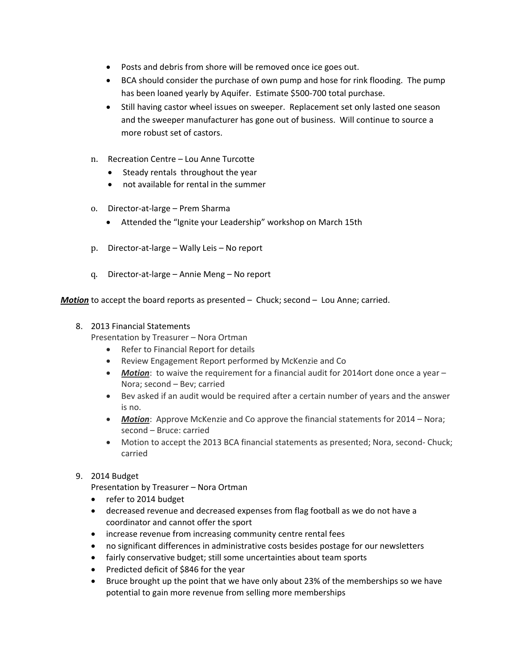- Posts and debris from shore will be removed once ice goes out.
- BCA should consider the purchase of own pump and hose for rink flooding. The pump has been loaned yearly by Aquifer. Estimate \$500-700 total purchase.
- Still having castor wheel issues on sweeper. Replacement set only lasted one season and the sweeper manufacturer has gone out of business. Will continue to source a more robust set of castors.
- n. Recreation Centre Lou Anne Turcotte
	- Steady rentals throughout the year
	- not available for rental in the summer
- o. Director‐at‐large Prem Sharma
	- Attended the "Ignite your Leadership" workshop on March 15th
- p. Director‐at‐large Wally Leis No report
- q. Director‐at‐large Annie Meng No report

*Motion* to accept the board reports as presented – Chuck; second – Lou Anne; carried.

## 8. 2013 Financial Statements

Presentation by Treasurer – Nora Ortman

- Refer to Financial Report for details
- Review Engagement Report performed by McKenzie and Co
- **Motion**: to waive the requirement for a financial audit for 2014ort done once a year Nora; second – Bev; carried
- Bev asked if an audit would be required after a certain number of years and the answer is no.
- *Motion*: Approve McKenzie and Co approve the financial statements for 2014 Nora; second – Bruce: carried
- Motion to accept the 2013 BCA financial statements as presented; Nora, second-Chuck; carried

## 9. 2014 Budget

Presentation by Treasurer – Nora Ortman

- refer to 2014 budget
- decreased revenue and decreased expenses from flag football as we do not have a coordinator and cannot offer the sport
- increase revenue from increasing community centre rental fees
- no significant differences in administrative costs besides postage for our newsletters
- fairly conservative budget; still some uncertainties about team sports
- Predicted deficit of \$846 for the year
- Bruce brought up the point that we have only about 23% of the memberships so we have potential to gain more revenue from selling more memberships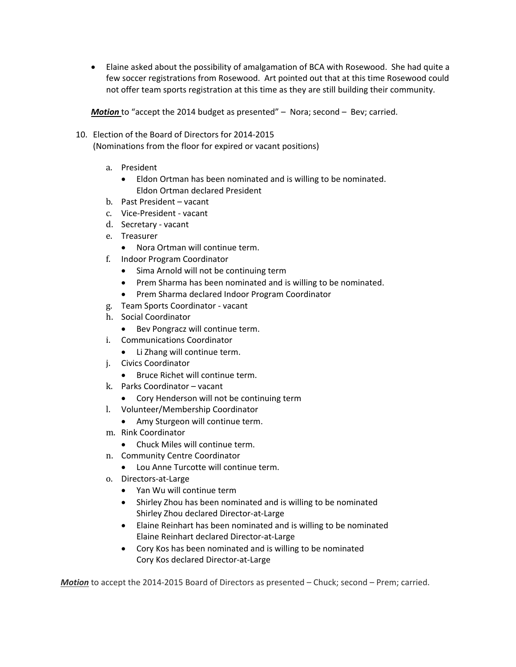Elaine asked about the possibility of amalgamation of BCA with Rosewood. She had quite a few soccer registrations from Rosewood. Art pointed out that at this time Rosewood could not offer team sports registration at this time as they are still building their community.

*Motion* to "accept the 2014 budget as presented" – Nora; second – Bev; carried.

- 10. Election of the Board of Directors for 2014‐2015 (Nominations from the floor for expired or vacant positions)
	- a. President
		- Eldon Ortman has been nominated and is willing to be nominated. Eldon Ortman declared President
	- b. Past President vacant
	- c. Vice‐President ‐ vacant
	- d. Secretary ‐ vacant
	- e. Treasurer
		- Nora Ortman will continue term.
	- f. Indoor Program Coordinator
		- Sima Arnold will not be continuing term
		- Prem Sharma has been nominated and is willing to be nominated.
		- Prem Sharma declared Indoor Program Coordinator
	- g. Team Sports Coordinator ‐ vacant
	- h. Social Coordinator
		- Bev Pongracz will continue term.
	- i. Communications Coordinator
		- Li Zhang will continue term.
	- j. Civics Coordinator
		- Bruce Richet will continue term.
	- k. Parks Coordinator vacant
		- Cory Henderson will not be continuing term
	- l. Volunteer/Membership Coordinator
		- Amy Sturgeon will continue term.
	- m. Rink Coordinator
		- Chuck Miles will continue term.
	- n. Community Centre Coordinator
		- Lou Anne Turcotte will continue term.
	- o. Directors‐at‐Large
		- Yan Wu will continue term
		- Shirley Zhou has been nominated and is willing to be nominated Shirley Zhou declared Director‐at‐Large
		- Elaine Reinhart has been nominated and is willing to be nominated Elaine Reinhart declared Director‐at‐Large
		- Cory Kos has been nominated and is willing to be nominated Cory Kos declared Director‐at‐Large

*Motion* to accept the 2014-2015 Board of Directors as presented – Chuck; second – Prem; carried.